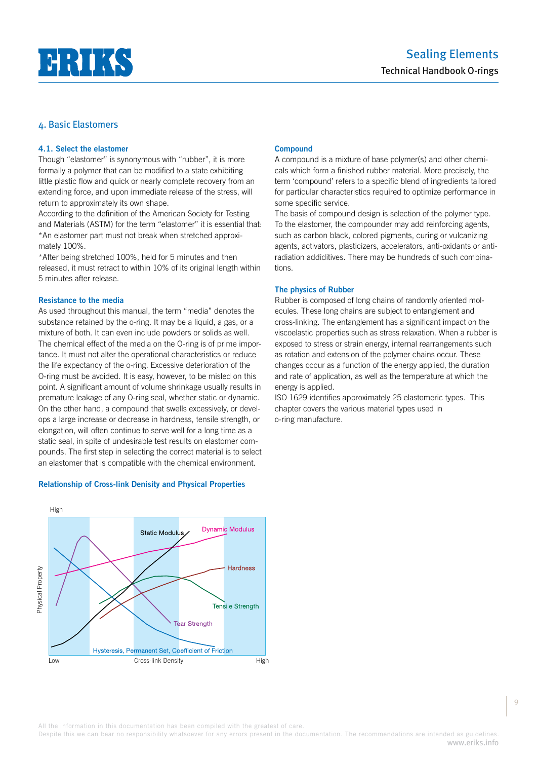

# **4.1. Select the elastomer**

Though "elastomer" is synonymous with "rubber", it is more formally a polymer that can be modified to a state exhibiting little plastic flow and quick or nearly complete recovery from an extending force, and upon immediate release of the stress, will return to approximately its own shape.

According to the definition of the American Society for Testing and Materials (ASTM) for the term "elastomer" it is essential that: \*An elastomer part must not break when stretched approximately 100%.

\*After being stretched 100%, held for 5 minutes and then released, it must retract to within 10% of its original length within 5 minutes after release.

### **Resistance to the media**

As used throughout this manual, the term "media" denotes the substance retained by the o-ring. It may be a liquid, a gas, or a mixture of both. It can even include powders or solids as well. The chemical effect of the media on the O-ring is of prime importance. It must not alter the operational characteristics or reduce the life expectancy of the o-ring. Excessive deterioration of the O-ring must be avoided. It is easy, however, to be misled on this point. A significant amount of volume shrinkage usually results in premature leakage of any O-ring seal, whether static or dynamic. On the other hand, a compound that swells excessively, or develops a large increase or decrease in hardness, tensile strength, or elongation, will often continue to serve well for a long time as a static seal, in spite of undesirable test results on elastomer compounds. The first step in selecting the correct material is to select an elastomer that is compatible with the chemical environment.

### **Relationship of Cross-link Denisity and Physical Properties**



### **Compound**

A compound is a mixture of base polymer(s) and other chemicals which form a finished rubber material. More precisely, the term 'compound' refers to a specific blend of ingredients tailored for particular characteristics required to optimize performance in some specific service.

The basis of compound design is selection of the polymer type. To the elastomer, the compounder may add reinforcing agents, such as carbon black, colored pigments, curing or vulcanizing agents, activators, plasticizers, accelerators, anti-oxidants or antiradiation addiditives. There may be hundreds of such combinations.

# **The physics of Rubber**

Rubber is composed of long chains of randomly oriented molecules. These long chains are subject to entanglement and cross-linking. The entanglement has a significant impact on the viscoelastic properties such as stress relaxation. When a rubber is exposed to stress or strain energy, internal rearrangements such as rotation and extension of the polymer chains occur. These changes occur as a function of the energy applied, the duration and rate of application, as well as the temperature at which the energy is applied.

ISO 1629 identifies approximately 25 elastomeric types. This chapter covers the various material types used in o-ring manufacture.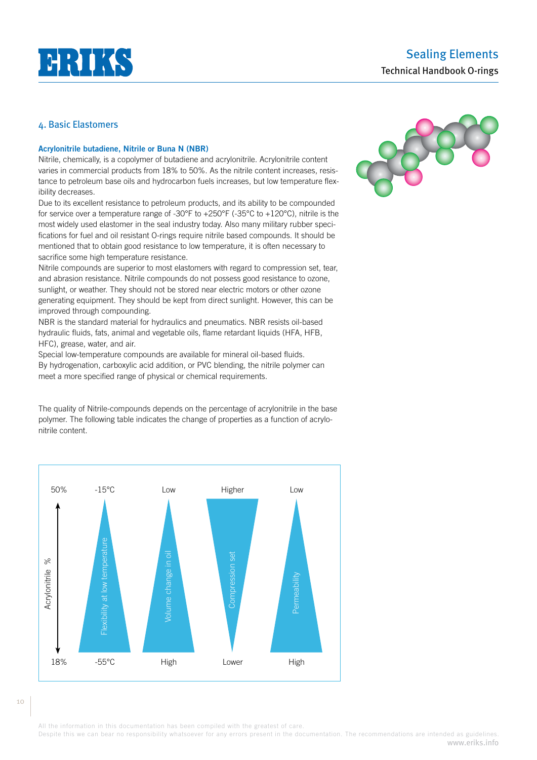

### **Acrylonitrile butadiene, Nitrile or Buna N (NBR)**

Nitrile, chemically, is a copolymer of butadiene and acrylonitrile. Acrylonitrile content varies in commercial products from 18% to 50%. As the nitrile content increases, resistance to petroleum base oils and hydrocarbon fuels increases, but low temperature flexibility decreases.

Due to its excellent resistance to petroleum products, and its ability to be compounded for service over a temperature range of -30°F to +250°F (-35°C to +120°C), nitrile is the most widely used elastomer in the seal industry today. Also many military rubber specifications for fuel and oil resistant O-rings require nitrile based compounds. It should be mentioned that to obtain good resistance to low temperature, it is often necessary to sacrifice some high temperature resistance.

Nitrile compounds are superior to most elastomers with regard to compression set, tear, and abrasion resistance. Nitrile compounds do not possess good resistance to ozone, sunlight, or weather. They should not be stored near electric motors or other ozone generating equipment. They should be kept from direct sunlight. However, this can be improved through compounding.

NBR is the standard material for hydraulics and pneumatics. NBR resists oil-based hydraulic fluids, fats, animal and vegetable oils, flame retardant liquids (HFA, HFB, HFC), grease, water, and air.

Special low-temperature compounds are available for mineral oil-based fluids. By hydrogenation, carboxylic acid addition, or PVC blending, the nitrile polymer can meet a more specified range of physical or chemical requirements.

The quality of Nitrile-compounds depends on the percentage of acrylonitrile in the base polymer. The following table indicates the change of properties as a function of acrylonitrile content.





All the information in this documentation has been compiled with the greatest of care.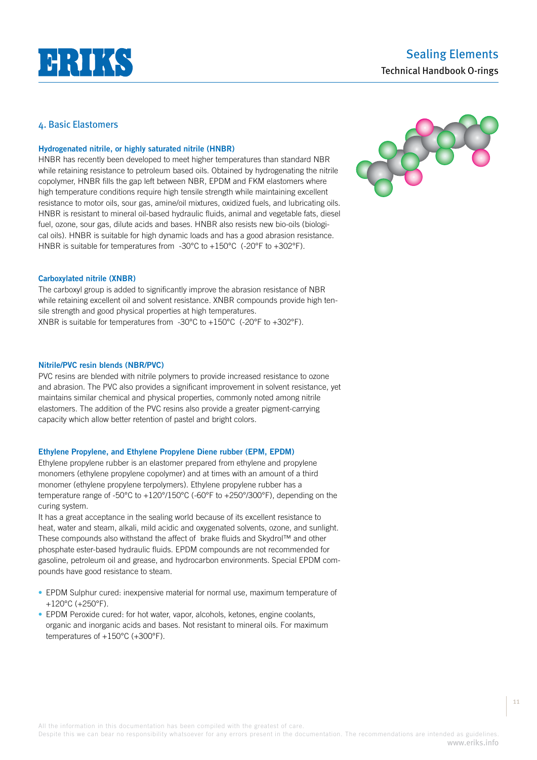

# **Hydrogenated nitrile, or highly saturated nitrile (HNBR)**

HNBR has recently been developed to meet higher temperatures than standard NBR while retaining resistance to petroleum based oils. Obtained by hydrogenating the nitrile copolymer, HNBR fills the gap left between NBR, EPDM and FKM elastomers where high temperature conditions require high tensile strength while maintaining excellent resistance to motor oils, sour gas, amine/oil mixtures, oxidized fuels, and lubricating oils. HNBR is resistant to mineral oil-based hydraulic fluids, animal and vegetable fats, diesel fuel, ozone, sour gas, dilute acids and bases. HNBR also resists new bio-oils (biological oils). HNBR is suitable for high dynamic loads and has a good abrasion resistance. HNBR is suitable for temperatures from -30°C to +150°C (-20°F to +302°F).



### **Carboxylated nitrile (XNBR)**

The carboxyl group is added to significantly improve the abrasion resistance of NBR while retaining excellent oil and solvent resistance. XNBR compounds provide high tensile strength and good physical properties at high temperatures. XNBR is suitable for temperatures from -30°C to +150°C (-20°F to +302°F).

### **Nitrile/PVC resin blends (NBR/PVC)**

PVC resins are blended with nitrile polymers to provide increased resistance to ozone and abrasion. The PVC also provides a significant improvement in solvent resistance, yet maintains similar chemical and physical properties, commonly noted among nitrile elastomers. The addition of the PVC resins also provide a greater pigment-carrying capacity which allow better retention of pastel and bright colors.

### **Ethylene Propylene, and Ethylene Propylene Diene rubber (EPM, EPDM)**

Ethylene propylene rubber is an elastomer prepared from ethylene and propylene monomers (ethylene propylene copolymer) and at times with an amount of a third monomer (ethylene propylene terpolymers). Ethylene propylene rubber has a temperature range of -50°C to +120°/150°C (-60°F to +250°/300°F), depending on the curing system.

It has a great acceptance in the sealing world because of its excellent resistance to heat, water and steam, alkali, mild acidic and oxygenated solvents, ozone, and sunlight. These compounds also withstand the affect of brake fluids and Skydrol™ and other phosphate ester-based hydraulic fluids. EPDM compounds are not recommended for gasoline, petroleum oil and grease, and hydrocarbon environments. Special EPDM compounds have good resistance to steam.

- EPDM Sulphur cured: inexpensive material for normal use, maximum temperature of +120°C (+250°F).
- EPDM Peroxide cured: for hot water, vapor, alcohols, ketones, engine coolants, organic and inorganic acids and bases. Not resistant to mineral oils. For maximum temperatures of +150°C (+300°F).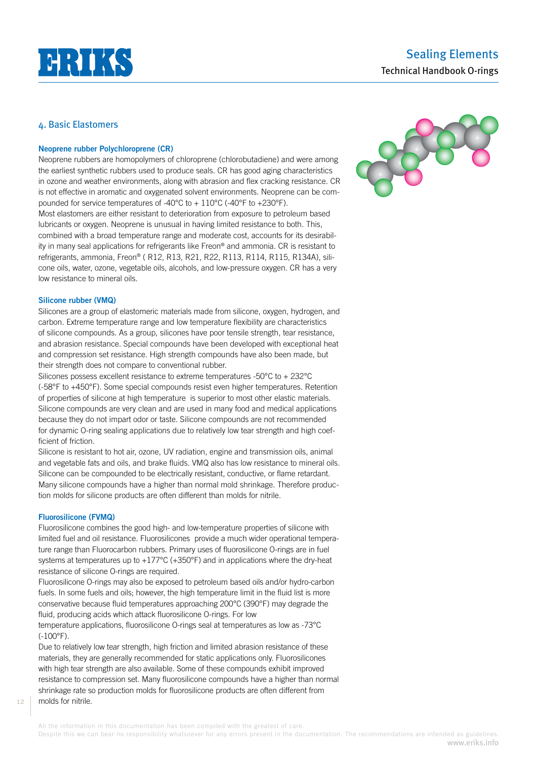

### **Neoprene rubber Polychloroprene (CR)**

Neoprene rubbers are homopolymers of chloroprene (chlorobutadiene) and were among the earliest synthetic rubbers used to produce seals. CR has good aging characteristics in ozone and weather environments, along with abrasion and flex cracking resistance. CR is not effective in aromatic and oxygenated solvent environments. Neoprene can be compounded for service temperatures of -40°C to + 110°C (-40°F to +230°F). Most elastomers are either resistant to deterioration from exposure to petroleum based lubricants or oxygen. Neoprene is unusual in having limited resistance to both. This, combined with a broad temperature range and moderate cost, accounts for its desirability in many seal applications for refrigerants like Freon® and ammonia. CR is resistant to refrigerants, ammonia, Freon® ( R12, R13, R21, R22, R113, R114, R115, R134A), silicone oils, water, ozone, vegetable oils, alcohols, and low-pressure oxygen. CR has a very low resistance to mineral oils.

### **Silicone rubber (VMQ)**

Silicones are a group of elastomeric materials made from silicone, oxygen, hydrogen, and carbon. Extreme temperature range and low temperature flexibility are characteristics of silicone compounds. As a group, silicones have poor tensile strength, tear resistance, and abrasion resistance. Special compounds have been developed with exceptional heat and compression set resistance. High strength compounds have also been made, but their strength does not compare to conventional rubber.

Silicones possess excellent resistance to extreme temperatures -50°C to + 232°C (-58°F to +450°F). Some special compounds resist even higher temperatures. Retention of properties of silicone at high temperature is superior to most other elastic materials. Silicone compounds are very clean and are used in many food and medical applications because they do not impart odor or taste. Silicone compounds are not recommended for dynamic O-ring sealing applications due to relatively low tear strength and high coefficient of friction.

Silicone is resistant to hot air, ozone, UV radiation, engine and transmission oils, animal and vegetable fats and oils, and brake fluids. VMQ also has low resistance to mineral oils. Silicone can be compounded to be electrically resistant, conductive, or flame retardant. Many silicone compounds have a higher than normal mold shrinkage. Therefore production molds for silicone products are often different than molds for nitrile.

### **Fluorosilicone (FVMQ)**

Fluorosilicone combines the good high- and low-temperature properties of silicone with limited fuel and oil resistance. Fluorosilicones provide a much wider operational temperature range than Fluorocarbon rubbers. Primary uses of fluorosilicone O-rings are in fuel systems at temperatures up to  $+177^{\circ}$ C ( $+350^{\circ}$ F) and in applications where the dry-heat resistance of silicone O-rings are required.

Fluorosilicone O-rings may also be exposed to petroleum based oils and/or hydro-carbon fuels. In some fuels and oils; however, the high temperature limit in the fluid list is more conservative because fluid temperatures approaching 200°C (390°F) may degrade the fluid, producing acids which attack fluorosilicone O-rings. For low

temperature applications, fluorosilicone O-rings seal at temperatures as low as -73°C (-100°F).

Due to relatively low tear strength, high friction and limited abrasion resistance of these materials, they are generally recommended for static applications only. Fluorosilicones with high tear strength are also available. Some of these compounds exhibit improved resistance to compression set. Many fluorosilicone compounds have a higher than normal shrinkage rate so production molds for fluorosilicone products are often different from molds for nitrile.

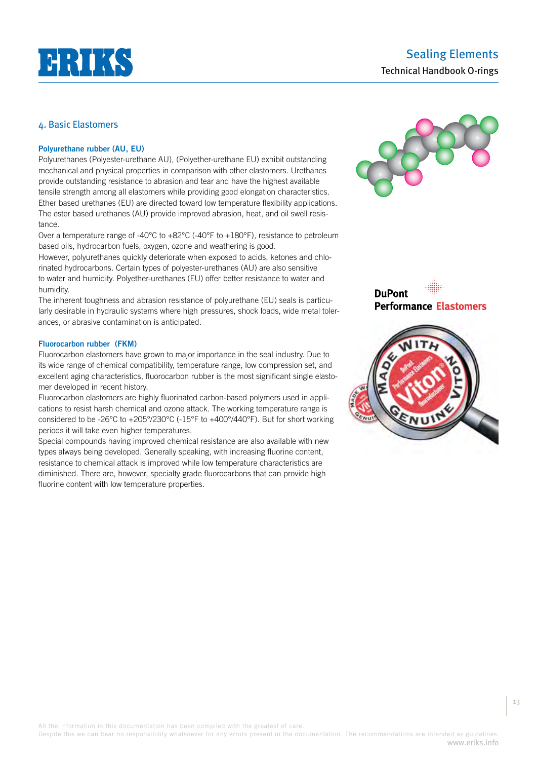

# Sealing Elements Technical Handbook O-rings

# 4. Basic Elastomers

### **Polyurethane rubber (AU, EU)**

Polyurethanes (Polyester-urethane AU), (Polyether-urethane EU) exhibit outstanding mechanical and physical properties in comparison with other elastomers. Urethanes provide outstanding resistance to abrasion and tear and have the highest available tensile strength among all elastomers while providing good elongation characteristics. Ether based urethanes (EU) are directed toward low temperature flexibility applications. The ester based urethanes (AU) provide improved abrasion, heat, and oil swell resistance.

Over a temperature range of -40 $^{\circ}$ C to +82 $^{\circ}$ C (-40 $^{\circ}$ F to +180 $^{\circ}$ F), resistance to petroleum based oils, hydrocarbon fuels, oxygen, ozone and weathering is good.

However, polyurethanes quickly deteriorate when exposed to acids, ketones and chlorinated hydrocarbons. Certain types of polyester-urethanes (AU) are also sensitive to water and humidity. Polyether-urethanes (EU) offer better resistance to water and humidity.

The inherent toughness and abrasion resistance of polyurethane (EU) seals is particularly desirable in hydraulic systems where high pressures, shock loads, wide metal tolerances, or abrasive contamination is anticipated.

### **Fluorocarbon rubber (FKM)**

Fluorocarbon elastomers have grown to major importance in the seal industry. Due to its wide range of chemical compatibility, temperature range, low compression set, and excellent aging characteristics, fluorocarbon rubber is the most significant single elastomer developed in recent history.

Fluorocarbon elastomers are highly fluorinated carbon-based polymers used in applications to resist harsh chemical and ozone attack. The working temperature range is considered to be -26°C to +205°/230°C (-15°F to +400°/440°F). But for short working periods it will take even higher temperatures.

Special compounds having improved chemical resistance are also available with new types always being developed. Generally speaking, with increasing fluorine content, resistance to chemical attack is improved while low temperature characteristics are diminished. There are, however, specialty grade fluorocarbons that can provide high fluorine content with low temperature properties.







All the information in this documentation has been compiled with the greatest of care.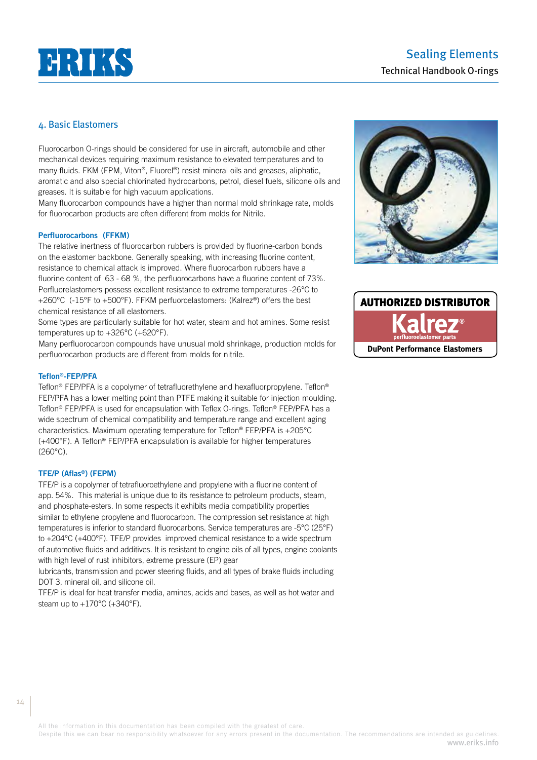# **HRIKS**

# Sealing Elements Technical Handbook O-rings

# 4. Basic Elastomers

Fluorocarbon O-rings should be considered for use in aircraft, automobile and other mechanical devices requiring maximum resistance to elevated temperatures and to many fluids. FKM (FPM, Viton®, Fluorel®) resist mineral oils and greases, aliphatic, aromatic and also special chlorinated hydrocarbons, petrol, diesel fuels, silicone oils and greases. It is suitable for high vacuum applications.

Many fluorocarbon compounds have a higher than normal mold shrinkage rate, molds for fluorocarbon products are often different from molds for Nitrile.

### **Perfluorocarbons (FFKM)**

The relative inertness of fluorocarbon rubbers is provided by fluorine-carbon bonds on the elastomer backbone. Generally speaking, with increasing fluorine content, resistance to chemical attack is improved. Where fluorocarbon rubbers have a fluorine content of 63 - 68 %, the perfluorocarbons have a fluorine content of 73%. Perfluorelastomers possess excellent resistance to extreme temperatures -26°C to +260°C (-15°F to +500°F). FFKM perfuoroelastomers: (Kalrez®) offers the best chemical resistance of all elastomers.

Some types are particularly suitable for hot water, steam and hot amines. Some resist temperatures up to +326°C (+620°F).

Many perfluorocarbon compounds have unusual mold shrinkage, production molds for perfluorocarbon products are different from molds for nitrile.

# **Teflon®-FEP/PFA**

Teflon® FEP/PFA is a copolymer of tetrafluorethylene and hexafluorpropylene. Teflon® FEP/PFA has a lower melting point than PTFE making it suitable for injection moulding. Teflon® FEP/PFA is used for encapsulation with Teflex O-rings. Teflon® FEP/PFA has a wide spectrum of chemical compatibility and temperature range and excellent aging characteristics. Maximum operating temperature for Teflon® FEP/PFA is +205°C (+400°F). A Teflon® FEP/PFA encapsulation is available for higher temperatures (260°C).

#### **TFE/P (Aflas®) (FEPM)**

TFE/P is a copolymer of tetrafluoroethylene and propylene with a fluorine content of app. 54%. This material is unique due to its resistance to petroleum products, steam, and phosphate-esters. In some respects it exhibits media compatibility properties similar to ethylene propylene and fluorocarbon. The compression set resistance at high temperatures is inferior to standard fluorocarbons. Service temperatures are -5°C (25°F) to +204°C (+400°F). TFE/P provides improved chemical resistance to a wide spectrum of automotive fluids and additives. It is resistant to engine oils of all types, engine coolants with high level of rust inhibitors, extreme pressure (EP) gear

lubricants, transmission and power steering fluids, and all types of brake fluids including DOT 3, mineral oil, and silicone oil.

TFE/P is ideal for heat transfer media, amines, acids and bases, as well as hot water and steam up to +170°C (+340°F).



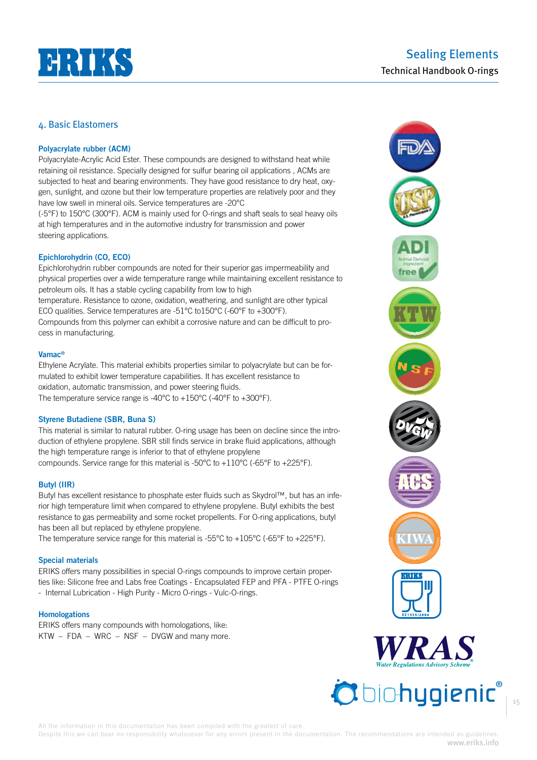

# **Polyacrylate rubber (ACM)**

Polyacrylate-Acrylic Acid Ester. These compounds are designed to withstand heat while retaining oil resistance. Specially designed for sulfur bearing oil applications , ACMs are subjected to heat and bearing environments. They have good resistance to dry heat, oxygen, sunlight, and ozone but their low temperature properties are relatively poor and they have low swell in mineral oils. Service temperatures are -20°C

(-5°F) to 150°C (300°F). ACM is mainly used for O-rings and shaft seals to seal heavy oils at high temperatures and in the automotive industry for transmission and power steering applications.

# **Epichlorohydrin (CO, ECO)**

Epichlorohydrin rubber compounds are noted for their superior gas impermeability and physical properties over a wide temperature range while maintaining excellent resistance to petroleum oils. It has a stable cycling capability from low to high temperature. Resistance to ozone, oxidation, weathering, and sunlight are other typical ECO qualities. Service temperatures are -51°C to150°C (-60°F to +300°F). Compounds from this polymer can exhibit a corrosive nature and can be difficult to process in manufacturing.

### **Vamac®**

Ethylene Acrylate. This material exhibits properties similar to polyacrylate but can be formulated to exhibit lower temperature capabilities. It has excellent resistance to oxidation, automatic transmission, and power steering fluids. The temperature service range is -40°C to +150°C (-40°F to +300°F).

### **Styrene Butadiene (SBR, Buna S)**

This material is similar to natural rubber. O-ring usage has been on decline since the introduction of ethylene propylene. SBR still finds service in brake fluid applications, although the high temperature range is inferior to that of ethylene propylene compounds. Service range for this material is -50°C to +110°C (-65°F to +225°F).

### **Butyl (IIR)**

Butyl has excellent resistance to phosphate ester fluids such as Skydrol™, but has an inferior high temperature limit when compared to ethylene propylene. Butyl exhibits the best resistance to gas permeability and some rocket propellents. For O-ring applications, butyl has been all but replaced by ethylene propylene.

The temperature service range for this material is -55°C to +105°C (-65°F to +225°F).

### **Special materials**

ERIKS offers many possibilities in special O-rings compounds to improve certain properties like: Silicone free and Labs free Coatings - Encapsulated FEP and PFA - PTFE O-rings - Internal Lubrication - High Purity - Micro O-rings - Vulc-O-rings.

### **Homologations**

ERIKS offers many compounds with homologations, like: KTW – FDA – WRC – NSF – DVGW and many more.





15

All the information in this documentation has been compiled with the greatest of care.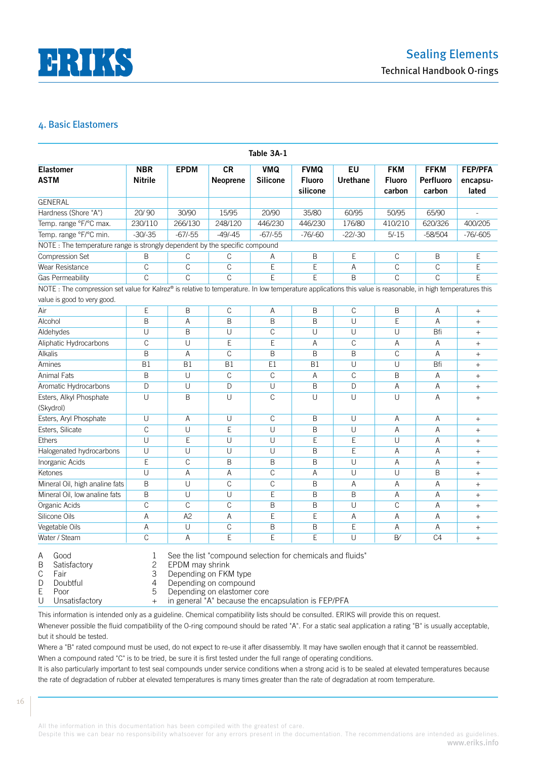

|                                                                                                                                                                                            |                              |                |                              | Table 3A-1                    |                                          |                       |                                       |                                    |                                     |
|--------------------------------------------------------------------------------------------------------------------------------------------------------------------------------------------|------------------------------|----------------|------------------------------|-------------------------------|------------------------------------------|-----------------------|---------------------------------------|------------------------------------|-------------------------------------|
| <b>Elastomer</b><br><b>ASTM</b>                                                                                                                                                            | <b>NBR</b><br><b>Nitrile</b> | <b>EPDM</b>    | <b>CR</b><br><b>Neoprene</b> | <b>VMQ</b><br><b>Silicone</b> | <b>FVMQ</b><br><b>Fluoro</b><br>silicone | EU<br><b>Urethane</b> | <b>FKM</b><br><b>Fluoro</b><br>carbon | <b>FFKM</b><br>Perfluoro<br>carbon | <b>FEP/PFA</b><br>encapsu-<br>lated |
| <b>GENERAL</b>                                                                                                                                                                             |                              |                |                              |                               |                                          |                       |                                       |                                    |                                     |
| Hardness (Shore "A")                                                                                                                                                                       | 20/90                        | 30/90          | 15/95                        | 20/90                         | 35/80                                    | 60/95                 | 50/95                                 | 65/90                              |                                     |
| Temp. range °F/°C max.                                                                                                                                                                     | 230/110                      | 266/130        | 248/120                      | 446/230                       | 446/230                                  | 176/80                | 410/210                               | 620/326                            | 400/205                             |
| Temp. range °F/°C min.                                                                                                                                                                     | $-30/-35$                    | $-67/-55$      | $-49/-45$                    | $-67/-55$                     | $-76/-60$                                | $-22/-30$             | $5/-15$                               | $-58/504$                          | $-76/-605$                          |
| NOTE: The temperature range is strongly dependent by the specific compound                                                                                                                 |                              |                |                              |                               |                                          |                       |                                       |                                    |                                     |
| Compression Set                                                                                                                                                                            | B                            | $\mathbb C$    | С                            | Α                             | Β                                        | E                     | С                                     | B                                  | Ε                                   |
| Wear Resistance                                                                                                                                                                            | C                            | C              | C                            | Ε                             | E                                        | Α                     | C                                     | C                                  | E                                   |
| Gas Permeability                                                                                                                                                                           | Ċ                            | $\mathcal{C}$  | Ċ                            | E                             | E                                        | B                     | C                                     | $\mathcal{C}$                      | E                                   |
| NOTE: The compression set value for Kalrez® is relative to temperature. In low temperature applications this value is reasonable, in high temperatures this<br>value is good to very good. |                              |                |                              |                               |                                          |                       |                                       |                                    |                                     |
| Air                                                                                                                                                                                        | $\mathsf{E}% _{0}$           | B              | С                            | A                             | B                                        | C                     | B                                     | A                                  |                                     |
| Alcohol                                                                                                                                                                                    | B                            | A              | B                            | B                             | B                                        | U                     | E                                     | A                                  | $^{+}$                              |
| Aldehydes                                                                                                                                                                                  | U                            | B              | U                            | $\mathbb C$                   | U                                        | $\cup$                | U                                     | Bfi                                | $^{+}$                              |
| Aliphatic Hydrocarbons                                                                                                                                                                     | $\mathbb C$                  | U              | Ε                            | E                             | Α                                        | C                     | Α                                     | Α                                  | $^{+}$                              |
| <b>Alkalis</b>                                                                                                                                                                             | B                            | Α              | $\mathsf{C}$                 | B                             | B                                        | B                     | C                                     | A                                  | $^{+}$                              |
| Amines                                                                                                                                                                                     | B1                           | <b>B1</b>      | B1                           | E1                            | B1                                       | U                     | U                                     | Bfi                                | $+$                                 |
| Animal Fats                                                                                                                                                                                | B                            | $\cup$         | $\mathsf{C}$                 | C                             | Α                                        | C                     | B                                     | A                                  | $^{+}$                              |
| Aromatic Hydrocarbons                                                                                                                                                                      | D                            | U              | D                            | $\overline{U}$                | B                                        | D                     | Α                                     | A                                  | $^{+}$                              |
| Esters, Alkyl Phosphate<br>(Skydrol)                                                                                                                                                       | U                            | B              | U                            | $\overline{C}$                | U                                        | $\cup$                | U                                     | A                                  | $^{+}$                              |
| Esters, Aryl Phosphate                                                                                                                                                                     | U                            | A              | U                            | $\mathcal{C}$                 | B                                        | $\cup$                | A                                     | A                                  | $^{+}$                              |
| Esters, Silicate                                                                                                                                                                           | $\mathbb C$                  | U              | E                            | U                             | B                                        | U                     | A                                     | A                                  | $^{+}$                              |
| <b>Ethers</b>                                                                                                                                                                              | U                            | E              | U                            | U                             | E                                        | E                     | U                                     | A                                  | $+$                                 |
| Halogenated hydrocarbons                                                                                                                                                                   | U                            | U              | U                            | U                             | B                                        | E                     | Α                                     | A                                  | $^{+}$                              |
| Inorganic Acids                                                                                                                                                                            | E                            | C              | B                            | B                             | B                                        | U                     | Α                                     | A                                  | $^{+}$                              |
| Ketones                                                                                                                                                                                    | U                            | A              | Α                            | $\mathbb C$                   | A                                        | U                     | U                                     | B                                  | $^{+}$                              |
| Mineral Oil, high analine fats                                                                                                                                                             | $\sf B$                      | U              | $\mathcal{C}$                | $\mathsf C$                   | B                                        | A                     | Α                                     | A                                  | $^{+}$                              |
| Mineral Oil, low analine fats                                                                                                                                                              | B                            | U              | U                            | E                             | B                                        | B                     | A                                     | A                                  | $^{+}$                              |
| Organic Acids                                                                                                                                                                              | $\mathsf C$                  | $\mathbb C$    | $\mathbb C$                  | B                             | B                                        | U                     | $\mathbb C$                           | A                                  | $^{+}$                              |
| Silicone Oils                                                                                                                                                                              | A                            | A <sub>2</sub> | Α                            | E                             | E                                        | Α                     | Α                                     | A                                  | $^{+}$                              |
| Vegetable Oils                                                                                                                                                                             | A                            | $\cup$         | $\mathsf{C}$                 | B                             | B                                        | E                     | A                                     | A                                  | $^{+}$                              |
|                                                                                                                                                                                            |                              |                |                              |                               | E                                        | U                     | B'                                    | C <sub>4</sub>                     |                                     |

B Satisfactory 2 EPDM may shrink<br>C Fair 3 Depending on FKN

C Fair 3 Depending on FKM type<br>
D Doubtful 3 Depending on compound

Doubtful **A** Depending on compound

E Poor 5 Depending on elastomer core<br>U Unsatisfactory + in general "A" because the en

in general "A" because the encapsulation is FEP/PFA

This information is intended only as a guideline. Chemical compatibility lists should be consulted. ERIKS will provide this on request. 

Whenever possible the fluid compatibility of the O-ring compound should be rated "A". For a static seal application a rating "B" is usually acceptable, but it should be tested.

Where a "B" rated compound must be used, do not expect to re-use it after disassembly. It may have swollen enough that it cannot be reassembled. When a compound rated "C" is to be tried, be sure it is first tested under the full range of operating conditions.

It is also particularly important to test seal compounds under service conditions when a strong acid is to be sealed at elevated temperatures because the rate of degradation of rubber at elevated temperatures is many times greater than the rate of degradation at room temperature.

All the information in this documentation has been compiled with the greatest of care.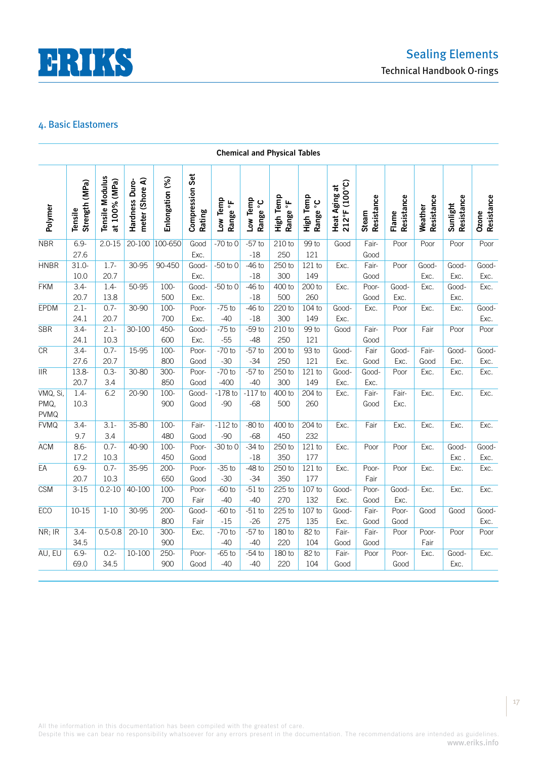

|                         | <b>Chemical and Physical Tables</b> |                                  |                                   |                 |                           |                      |                      |                       |                       |                                |                     |                     |                       |                        |                     |
|-------------------------|-------------------------------------|----------------------------------|-----------------------------------|-----------------|---------------------------|----------------------|----------------------|-----------------------|-----------------------|--------------------------------|---------------------|---------------------|-----------------------|------------------------|---------------------|
| Polymer                 | Strength (MPa)<br>Tensile           | Tensile Modulus<br>at 100% (MPa) | meter (Shore A)<br>Hardness Duro- | Enlongation (%) | Compression Set<br>Rating | Low Temp<br>Range °F | Low Temp<br>Range °C | High Temp<br>Range °F | High Temp<br>Range °C | Heat Aging at<br>212°F (100°C) | Resistance<br>Steam | Resistance<br>Flame | Resistance<br>Weather | Resistance<br>Sunlight | Resistance<br>Ozone |
| <b>NBR</b>              | $6.9 -$                             | $2.0 - 15$                       | $20 - 100$                        | 100-650         | Good                      | $-70$ to $0$         | $-57$ to             | 210 to                | 99 to                 | Good                           | Fair-               | Poor                | Poor                  | Poor                   | Poor                |
| <b>HNBR</b>             | 27.6<br>$31.0 -$                    | $1.7-$                           | 30-95                             | $90 - 450$      | Exc.<br>Good-             | $-50$ to $0$         | $-18$<br>$-46$ to    | 250<br>250 to         | 121<br>121 to         | Exc.                           | Good<br>Fair-       | Poor                | Good-                 | Good-                  | Good-               |
|                         | 10.0                                | 20.7                             |                                   |                 | Exc.                      |                      | $-18$                | 300                   | 149                   |                                | Good                |                     | Exc.                  | Exc.                   | Exc.                |
| <b>FKM</b>              | $3.4 -$                             | $1.4 -$                          | 50-95                             | $100 -$         | Good-                     | $-50$ to $0$         | $-46$ to             | 400 to                | 200 to                | Exc.                           | Poor-               | Good-               | Exc.                  | Good-                  | Exc.                |
|                         | 20.7                                | 13.8                             |                                   | 500             | Exc.                      |                      | $-18$                | 500                   | 260                   |                                | Good                | Exc.                |                       | Exc.                   |                     |
| <b>EPDM</b>             | $2.1 -$                             | $0.7 -$                          | 30-90                             | $100 -$         | Poor-                     | $-75$ to             | $-46$ to             | 220 to                | 104 to                | Good-                          | Exc.                | Poor                | Exc.                  | Exc.                   | Good-               |
|                         | 24.1                                | 20.7                             |                                   | 700             | Exc.                      | $-40$                | $-18$                | 300                   | 149                   | Exc.                           |                     |                     |                       |                        | Exc.                |
| <b>SBR</b>              | $3.4 -$                             | $2.1 -$                          | 30-100                            | $450 -$         | Good-                     | $-75$ to             | $-59t$               | 210 to                | 99 to                 | Good                           | Fair-               | Poor                | Fair                  | Poor                   | Poor                |
|                         | 24.1                                | 10.3                             |                                   | 600             | Exc.                      | $-55$                | $-48$                | 250                   | 121                   |                                | Good                |                     |                       |                        |                     |
| CR                      | $3.4 -$                             | $0.7 -$                          | 15-95                             | $100 -$         | Poor-                     | $-70$ to             | $-57$ to             | 200 to                | 93 to                 | Good-                          | Fair                | Good-               | Fair-                 | Good-                  | Good-               |
|                         | 27.6                                | 20.7                             |                                   | 800             | Good                      | $-30$                | $-34$                | 250                   | 121                   | Exc.                           | Good                | Exc.                | Good                  | Exc.                   | Exc.                |
| $\overline{\text{IIR}}$ | $13.8 -$<br>20.7                    | $0.3 -$<br>3.4                   | 30-80                             | $300 -$<br>850  | Poor-<br>Good             | $-70$ to<br>$-400$   | $-57$ to<br>$-40$    | 250 to<br>300         | $121$ to<br>149       | Good-<br>Exc.                  | Good-<br>Exc.       | Poor                | Exc.                  | Exc.                   | Exc.                |
| VMQ, Si,                | $1.4 -$                             | 6.2                              | 20-90                             | $100 -$         | Good-                     | $-178$ to            | $-117$ to            | 400 to                | $204$ to              | Exc.                           | Fair-               | Fair-               | Exc.                  | Exc.                   | Exc.                |
| PMQ,<br><b>PVMQ</b>     | 10.3                                |                                  |                                   | 900             | Good                      | $-90$                | $-68$                | 500                   | 260                   |                                | Good                | Exc.                |                       |                        |                     |
| <b>FVMQ</b>             | $3.4 -$                             | $3.1 -$                          | 35-80                             | $100 -$         | Fair-                     | $-112$ to            | $-80$ to             | 400 to                | $204$ to              | Exc.                           | Fair                | Exc.                | Exc.                  | Exc.                   | Exc.                |
|                         | 9.7                                 | 3.4                              |                                   | 480             | Good                      | $-90$                | $-68$                | 450                   | 232                   |                                |                     |                     |                       |                        |                     |
| <b>ACM</b>              | $8.6 -$                             | $0.7 -$                          | 40-90                             | $100 -$         | Poor-                     | $-30$ to $0$         | $-34$ to             | 250 to                | 121 to                | Exc.                           | Poor                | Poor                | Exc.                  | Good-                  | Good-               |
|                         | 17.2                                | 10.3                             |                                   | 450             | Good                      |                      | $-18$                | 350                   | 177                   |                                |                     |                     |                       | Exc.                   | Exc.                |
| EA                      | $6.9 -$                             | $0.7 -$                          | 35-95                             | $200 -$         | Poor-                     | $-35$ to             | $-48$ to             | 250 to                | $121$ to              | Exc.                           | Poor-               | Poor                | Exc.                  | Exc.                   | Exc.                |
|                         | 20.7                                | 10.3                             |                                   | 650             | Good                      | $-30$                | $-34$                | 350                   | 177                   |                                | Fair                |                     |                       |                        |                     |
| <b>CSM</b>              | $3 - 15$                            | $0.2 - 10$                       | 40-100                            | $100 -$         | Poor-                     | $-60$ to             | $-51$ to             | $225$ to              | 107 <sub>to</sub>     | Good-                          | Poor-               | Good-               | Exc.                  | Exc.                   | Exc.                |
|                         |                                     |                                  |                                   | 700             | Fair                      | $-40$                | $-40$                | 270                   | 132                   | Exc.                           | Good                | Exc.                |                       |                        |                     |
| <b>ECO</b>              | $10 - 15$                           | $1 - 10$                         | 30-95                             | $200 -$         | Good-                     | $-60$ to             | $-51$ to             | 225 to                | 107 to                | Good-                          | Fair-               | Poor-               | Good                  | Good                   | Good-               |
|                         |                                     |                                  |                                   | 800             | Fair                      | $-15$                | $-26$                | 275                   | 135                   | Exc.                           | Good                | Good                |                       |                        | Exc.                |
| NR; IR                  | $3.4 -$<br>34.5                     | $0.5 - 0.8$                      | $20 - 10$                         | $300 -$<br>900  | Exc.                      | $-70$ to<br>$-40$    | $-57$ to<br>$-40$    | 180 to<br>220         | $82$ to<br>104        | Fair-<br>Good                  | Fair-<br>Good       | Poor                | Poor-<br>Fair         | Poor                   | Poor                |
| AU, EU                  | $6.9 -$                             | $0.2 -$                          | $10 - 100$                        | $250 -$         | Poor-                     | $-65$ to             | $-54$ to             | 180 to                | 82 to                 | Fair-                          | Poor                | Poor-               | Exc.                  | Good-                  | Exc.                |
|                         | 69.0                                | 34.5                             |                                   | 900             | Good                      | $-40$                | $-40$                | 220                   | 104                   | Good                           |                     | Good                |                       | Exc.                   |                     |

All the information in this documentation has been compiled with the greatest of care.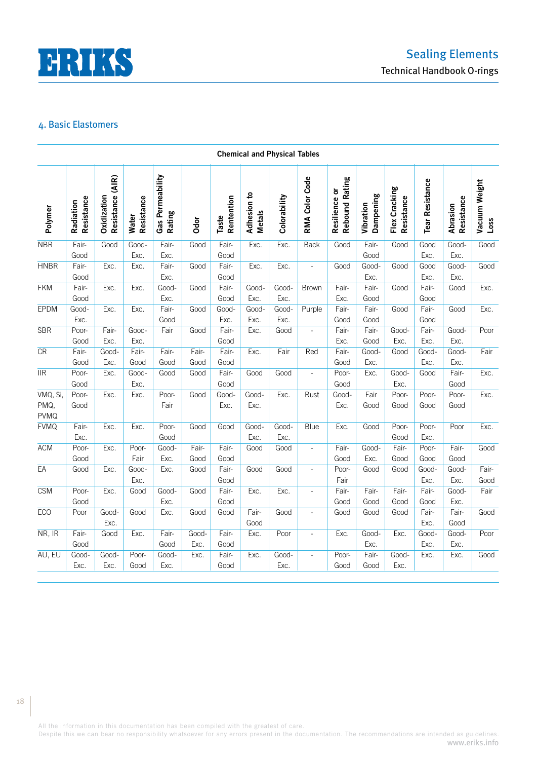

|                                       |                         |                                 |                            |                            |               |                     | <b>Chemical and Physical Tables</b> |               |                          |                                        |                        |                             |                        |                        |                          |
|---------------------------------------|-------------------------|---------------------------------|----------------------------|----------------------------|---------------|---------------------|-------------------------------------|---------------|--------------------------|----------------------------------------|------------------------|-----------------------------|------------------------|------------------------|--------------------------|
| Polymer                               | Resistance<br>Radiation | Resistance (AIR)<br>Oxidization | Resistance<br><b>Water</b> | Gas Permeability<br>Rating | Odor          | Rentention<br>Taste | Adhesion to<br><b>Metals</b>        | Colorability  | RMA Color Code           | <b>Rebound Rating</b><br>Resilience or | Dampening<br>Vibration | Flex Cracking<br>Resistance | <b>Tear Resistance</b> | Resistance<br>Abrasion | Vacuum Weight<br>$L$ oss |
| <b>NBR</b>                            | Fair-<br>Good           | Good                            | Good-<br>Exc.              | Fair-<br>Exc.              | Good          | Fair-<br>Good       | Exc.                                | Exc.          | <b>Back</b>              | Good                                   | Fair-<br>Good          | Good                        | Good<br>Exc.           | Good-<br>Exc.          | Good                     |
| <b>HNBR</b>                           | Fair-<br>Good           | Exc.                            | Exc.                       | Fair-<br>Exc.              | Good          | Fair-<br>Good       | Exc.                                | Exc.          | $\frac{1}{2}$            | Good                                   | Good-<br>Exc.          | Good                        | Good<br>Exc.           | Good-<br>Exc.          | Good                     |
| <b>FKM</b>                            | Fair-<br>Good           | Exc.                            | Exc.                       | Good-<br>Exc.              | Good          | Fair-<br>Good       | Good-<br>Exc.                       | Good-<br>Exc. | <b>Brown</b>             | Fair-<br>Exc.                          | Fair-<br>Good          | Good                        | Fair-<br>Good          | Good                   | Exc.                     |
| <b>EPDM</b>                           | Good-<br>Exc.           | Exc.                            | Exc.                       | Fair-<br>Good              | Good          | Good-<br>Exc.       | Good-<br>Exc.                       | Good-<br>Exc. | Purple                   | Fair-<br>Good                          | Fair-<br>Good          | Good                        | Fair-<br>Good          | Good                   | Exc.                     |
| <b>SBR</b>                            | Poor-<br>Good           | Fair-<br>Exc.                   | Good-<br>Exc.              | Fair                       | Good          | Fair-<br>Good       | Exc.                                | Good          | $\overline{\phantom{a}}$ | Fair-<br>Exc.                          | Fair-<br>Good          | Good-<br>Exc.               | Fair-<br>Exc.          | Good-<br>Exc.          | Poor                     |
| CR                                    | Fair-<br>Good           | Good-<br>Exc.                   | Fair-<br>Good              | Fair-<br>Good              | Fair-<br>Good | Fair-<br>Good       | Exc.                                | Fair          | Red                      | Fair-<br>Good                          | Good-<br>Exc.          | Good                        | Good-<br>Exc.          | Good-<br>Exc.          | Fair                     |
| $\overline{\text{IIR}}$               | Poor-<br>Good           | Exc.                            | Good-<br>Exc.              | Good                       | Good          | Fair-<br>Good       | Good                                | Good          | $\overline{\phantom{a}}$ | Poor-<br>Good                          | Exc.                   | Good-<br>Exc.               | Good                   | Fair-<br>Good          | Exc.                     |
| VMQ, Si,<br>PMQ,<br><b>PVMQ</b>       | Poor-<br>Good           | Exc.                            | Exc.                       | Poor-<br>Fair              | Good          | Good-<br>Exc.       | Good-<br>Exc.                       | Exc.          | Rust                     | Good-<br>Exc.                          | Fair<br>Good           | Poor-<br>Good               | Poor-<br>Good          | Poor-<br>Good          | Exc.                     |
| <b>FVMQ</b>                           | Fair-<br>Exc.           | Exc.                            | Exc.                       | Poor-<br>Good              | Good          | Good                | Good-<br>Exc.                       | Good-<br>Exc. | Blue                     | Exc.                                   | Good                   | Poor-<br>Good               | Poor-<br>Exc.          | Poor                   | Exc.                     |
| <b>ACM</b>                            | Poor-<br>Good           | Exc.                            | Poor-<br>Fair              | Good-<br>Exc.              | Fair-<br>Good | Fair-<br>Good       | Good                                | Good          | $\overline{\phantom{a}}$ | Fair-<br>Good                          | Good-<br>Exc.          | Fair-<br>Good               | Poor-<br>Good          | Fair-<br>Good          | Good                     |
| EA                                    | Good                    | Exc.                            | Good-<br>Exc.              | Exc.                       | Good          | Fair-<br>Good       | Good                                | Good          | $\overline{\phantom{a}}$ | Poor-<br>Fair                          | Good                   | Good                        | Good-<br>Exc.          | Good-<br>Exc.          | Fair-<br>Good            |
| <b>CSM</b>                            | Poor-<br>Good           | Exc.                            | Good                       | Good-<br>Exc.              | Good          | Fair-<br>Good       | Exc.                                | Exc.          | L,                       | Fair-<br>Good                          | Fair-<br>Good          | Fair-<br>Good               | Fair-<br>Good          | Good-<br>Exc.          | Fair                     |
| <b>ECO</b>                            | Poor                    | Good-<br>Exc.                   | Good                       | Exc.                       | Good          | Good                | Fair-<br>Good                       | Good          | $\overline{\phantom{a}}$ | Good                                   | Good                   | Good                        | Fair-<br>Exc.          | Fair-<br>Good          | Good                     |
| $\overline{\mathsf{NR}}, \mathsf{IR}$ | Fair-<br>Good           | Good                            | Exc.                       | Fair-<br>Good              | Good-<br>Exc. | Fair-<br>Good       | Exc.                                | Poor          | $\overline{\phantom{a}}$ | Exc.                                   | Good-<br>Exc.          | Exc.                        | Good-<br>Exc.          | Good-<br>Exc.          | Poor                     |
| AU, EU                                | Good-<br>Exc.           | Good-<br>Exc.                   | Poor-<br>Good              | Good-<br>Exc.              | Exc.          | Fair-<br>Good       | Exc.                                | Good-<br>Exc. | $\overline{\phantom{a}}$ | Poor-<br>Good                          | Fair-<br>Good          | Good-<br>Exc.               | Exc.                   | Exc.                   | Good                     |

All the information in this documentation has been compiled with the greatest of care.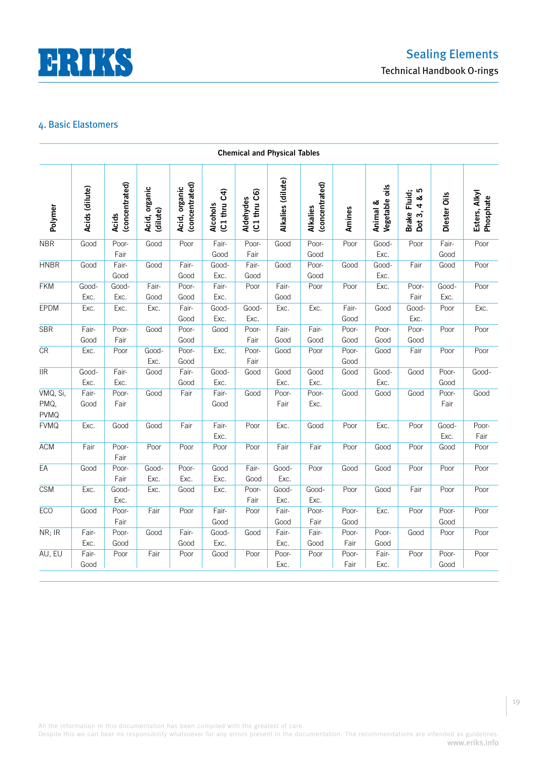

|                                 |                |                                |                           |                                 |                          | <b>Chemical and Physical Tables</b> |                   |                                   |               |                            |                                            |               |                            |
|---------------------------------|----------------|--------------------------------|---------------------------|---------------------------------|--------------------------|-------------------------------------|-------------------|-----------------------------------|---------------|----------------------------|--------------------------------------------|---------------|----------------------------|
| Polymer                         | Acids (dilute) | (concentrated)<br><b>Acids</b> | Acid, organic<br>(dilute) | (concentrated)<br>Acid, organic | (C1 thru C4)<br>Alcohols | (C1 thru C6)<br>Aldehydes           | Alkalies (dilute) | (concentrated)<br><b>Alkalies</b> | Amines        | Vegetable oils<br>Animal & | Brake Fluid;<br>Dot 3, 4 & 5<br>Dot 3, 4 & | Diester Oils  | Esters, Alkyl<br>Phosphate |
| <b>NBR</b>                      | Good           | Poor-                          | Good                      | Poor                            | Fair-                    | Poor-                               | Good              | Poor-                             | Poor          | Good-                      | Poor                                       | Fair-         | Poor                       |
|                                 |                | Fair                           |                           |                                 | Good                     | Fair                                |                   | Good                              |               | Exc.                       |                                            | Good          |                            |
| <b>HNBR</b>                     | Good           | Fair-<br>Good                  | Good                      | Fair-<br>Good                   | Good-<br>Exc.            | Fair-<br>Good                       | Good              | Poor-<br>Good                     | Good          | Good-<br>Exc.              | Fair                                       | Good          | Poor                       |
| <b>FKM</b>                      | Good-          | Good-                          | Fair-                     | Poor-                           | Fair-                    | Poor                                | Fair-             | Poor                              | Poor          | Exc.                       | Poor-                                      | Good-         | Poor                       |
|                                 | Exc.           | Exc.                           | Good                      | Good                            | Exc.                     |                                     | Good              |                                   |               |                            | Fair                                       | Exc.          |                            |
| EPDM                            | Exc.           | Exc.                           | Exc.                      | Fair-<br>Good                   | Good-<br>Exc.            | Good-<br>Exc.                       | Exc.              | Exc.                              | Fair-<br>Good | Good                       | Good-<br>Exc.                              | Poor          | Exc.                       |
| <b>SBR</b>                      | Fair-<br>Good  | Poor-<br>Fair                  | Good                      | Poor-<br>Good                   | Good                     | Poor-<br>Fair                       | Fair-<br>Good     | Fair-<br>Good                     | Poor-<br>Good | Poor-<br>Good              | Poor-<br>Good                              | Poor          | Poor                       |
| CR                              | Exc.           | Poor                           | Good-<br>Exc.             | Poor-<br>Good                   | Exc.                     | Poor-<br>Fair                       | Good              | Poor                              | Poor-<br>Good | Good                       | Fair                                       | Poor          | Poor                       |
| $\overline{\text{IIR}}$         | Good-          | Fair-                          | Good                      | Fair-                           | Good-                    | Good                                | Good              | Good                              | Good          | Good-                      | Good                                       | Poor-         | Good-                      |
|                                 | Exc.           | Exc.                           |                           | Good                            | Exc.                     |                                     | Exc.              | Exc.                              |               | Exc.                       |                                            | Good          |                            |
| VMQ, Si,<br>PMQ,<br><b>PVMQ</b> | Fair-<br>Good  | Poor-<br>Fair                  | Good                      | Fair                            | Fair-<br>Good            | Good                                | Poor-<br>Fair     | Poor-<br>Exc.                     | Good          | Good                       | Good                                       | Poor-<br>Fair | Good                       |
| <b>FVMQ</b>                     | Exc.           | Good                           | Good                      | Fair                            | Fair-<br>Exc.            | Poor                                | Exc.              | Good                              | Poor          | Exc.                       | Poor                                       | Good-<br>Exc. | Poor-<br>Fair              |
| ACM                             | Fair           | Poor-<br>Fair                  | Poor                      | Poor                            | Poor                     | Poor                                | Fair              | Fair                              | Poor          | Good                       | Poor                                       | Good          | Poor                       |
| $E$ A                           | Good           | Poor-<br>Fair                  | Good-<br>Exc.             | Poor-<br>Exc.                   | Good<br>Exc.             | Fair-<br>Good                       | Good-<br>Exc.     | Poor                              | Good          | Good                       | Poor                                       | Poor          | Poor                       |
| <b>CSM</b>                      | Exc.           | Good-<br>Exc.                  | Exc.                      | Good                            | Exc.                     | Poor-<br>Fair                       | Good-<br>Exc.     | Good-<br>Exc.                     | Poor          | Good                       | Fair                                       | Poor          | Poor                       |
| <b>ECO</b>                      | Good           | Poor-<br>Fair                  | Fair                      | Poor                            | Fair-<br>Good            | Poor                                | Fair-<br>Good     | Poor-<br>Fair                     | Poor-<br>Good | Exc.                       | Poor                                       | Poor-<br>Good | Poor                       |
| NR; IR                          | Fair-<br>Exc.  | Poor-<br>Good                  | Good                      | Fair-<br>Good                   | Good-<br>Exc.            | Good                                | Fair-<br>Exc.     | Fair-<br>Good                     | Poor-<br>Fair | Poor-<br>Good              | Good                                       | Poor          | Poor                       |
| AU, EU                          | Fair-<br>Good  | Poor                           | Fair                      | Poor                            | Good                     | Poor                                | Poor-<br>Exc.     | Poor                              | Poor-<br>Fair | Fair-<br>Exc.              | Poor                                       | Poor-<br>Good | Poor                       |

All the information in this documentation has been compiled with the greatest of care.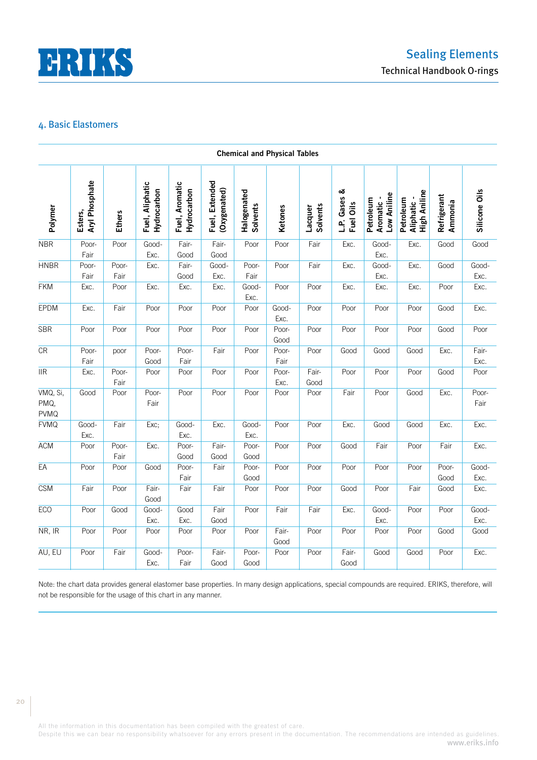

|                                 |                           |               |                                |                               |                                | <b>Chemical and Physical Tables</b> |               |                            |                           |                                       |                                                |                        |               |
|---------------------------------|---------------------------|---------------|--------------------------------|-------------------------------|--------------------------------|-------------------------------------|---------------|----------------------------|---------------------------|---------------------------------------|------------------------------------------------|------------------------|---------------|
| Polymer                         | Aryl Phosphate<br>Esters, | <b>Ethers</b> | Fuel, Aliphatic<br>Hydrocarbon | Fuel, Aromatic<br>Hydrocarbon | Fuel, Extended<br>(Oxygenated) | Halogenated<br><b>Solvents</b>      | Ketones       | <b>Solvents</b><br>Lacquer | L.P. Gases &<br>Fuel Oils | Low Aniline<br>Aromatic-<br>Petroleum | <b>High Aniline</b><br>Aliphatic-<br>Petroleum | Refrigerant<br>Ammonia | Silicone Oils |
| <b>NBR</b>                      | Poor-<br>Fair             | Poor          | Good-<br>Exc.                  | Fair-<br>Good                 | Fair-<br>Good                  | Poor                                | Poor          | Fair                       | Exc.                      | Good-<br>Exc.                         | Exc.                                           | Good                   | Good          |
| <b>HNBR</b>                     | Poor-<br>Fair             | Poor-<br>Fair | Exc.                           | Fair-<br>Good                 | Good-<br>Exc.                  | Poor-<br>Fair                       | Poor          | Fair                       | Exc.                      | Good-<br>Exc.                         | Exc.                                           | Good                   | Good-<br>Exc. |
| <b>FKM</b>                      | Exc.                      | Poor          | Exc.                           | Exc.                          | Exc.                           | Good-<br>Exc.                       | Poor          | Poor                       | Exc.                      | Exc.                                  | Exc.                                           | Poor                   | Exc.          |
| EPDM                            | Exc.                      | Fair          | Poor                           | Poor                          | Poor                           | Poor                                | Good-<br>Exc. | Poor                       | Poor                      | Poor                                  | Poor                                           | Good                   | Exc.          |
| <b>SBR</b>                      | Poor                      | Poor          | Poor                           | Poor                          | Poor                           | Poor                                | Poor-<br>Good | Poor                       | Poor                      | Poor                                  | Poor                                           | Good                   | Poor          |
| CR                              | Poor-<br>Fair             | poor          | Poor-<br>Good                  | Poor-<br>Fair                 | Fair                           | Poor                                | Poor-<br>Fair | Poor                       | Good                      | Good                                  | Good                                           | Exc.                   | Fair-<br>Exc. |
| $\overline{\text{IIR}}$         | Exc.                      | Poor-<br>Fair | Poor                           | Poor                          | Poor                           | Poor                                | Poor-<br>Exc. | Fair-<br>Good              | Poor                      | Poor                                  | Poor                                           | Good                   | Poor          |
| VMQ, Si,<br>PMQ,<br><b>PVMQ</b> | Good                      | Poor          | Poor-<br>Fair                  | Poor                          | Poor                           | Poor                                | Poor          | Poor                       | Fair                      | Poor                                  | Good                                           | Exc.                   | Poor-<br>Fair |
| <b>FVMQ</b>                     | Good-<br>Exc.             | Fair          | Exc;                           | Good-<br>Exc.                 | Exc.                           | Good-<br>Exc.                       | Poor          | Poor                       | Exc.                      | Good                                  | Good                                           | Exc.                   | Exc.          |
| <b>ACM</b>                      | Poor                      | Poor-<br>Fair | Exc.                           | Poor-<br>Good                 | Fair-<br>Good                  | Poor-<br>Good                       | Poor          | Poor                       | Good                      | Fair                                  | Poor                                           | Fair                   | Exc.          |
| EA                              | Poor                      | Poor          | Good                           | Poor-<br>Fair                 | Fair                           | Poor-<br>Good                       | Poor          | Poor                       | Poor                      | Poor                                  | Poor                                           | Poor-<br>Good          | Good-<br>Exc. |
| <b>CSM</b>                      | Fair                      | Poor          | Fair-<br>Good                  | Fair                          | Fair                           | Poor                                | Poor          | Poor                       | Good                      | Poor                                  | Fair                                           | Good                   | Exc.          |
| <b>ECO</b>                      | Poor                      | Good          | Good-<br>Exc.                  | Good<br>Exc.                  | Fair<br>Good                   | Poor                                | Fair          | Fair                       | Exc.                      | Good-<br>Exc.                         | Poor                                           | Poor                   | Good-<br>Exc. |
| NR, IR                          | Poor                      | Poor          | Poor                           | Poor                          | Poor                           | Poor                                | Fair-<br>Good | Poor                       | Poor                      | Poor                                  | Poor                                           | Good                   | Good          |
| AU, EU                          | Poor                      | Fair          | Good-<br>Exc.                  | Poor-<br>Fair                 | Fair-<br>Good                  | Poor-<br>Good                       | Poor          | Poor                       | Fair-<br>Good             | Good                                  | Good                                           | Poor                   | Exc.          |

Note: the chart data provides general elastomer base properties. In many design applications, special compounds are required. ERIKS, therefore, will

All the information in this documentation has been compiled with the greatest of care.